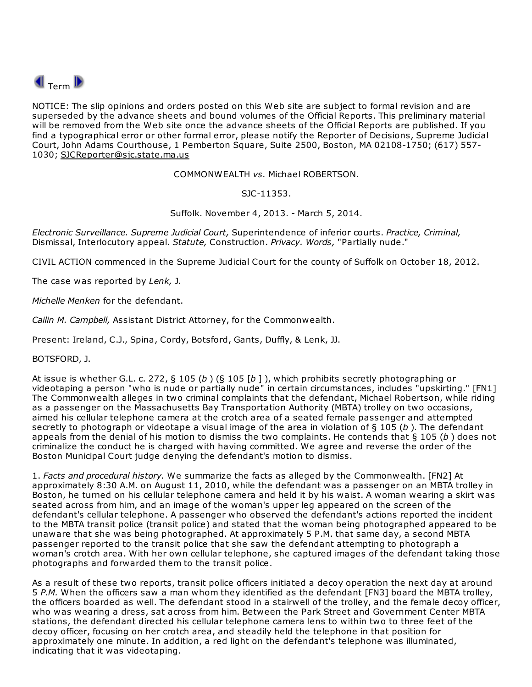

NOTICE: The slip opinions and orders posted on this Web site are subject to formal revision and are superseded by the advance sheets and bound volumes of the Official Reports. This preliminary material will be removed from the Web site once the advance sheets of the Official Reports are published. If you find a typographical error or other formal error, please notify the Reporter of Decisions, Supreme Judicial Court, John Adams Courthouse, 1 Pemberton Square, Suite 2500, Boston, MA 02108-1750; (617) 557- 1030; SJCReporter@sjc.state.ma.us

COMMONWEALTH vs. Michael ROBERTSON.

SJC-11353.

Suffolk. November 4, 2013. - March 5, 2014.

Electronic Surveillance. Supreme Judicial Court, Superintendence of inferior courts. Practice, Criminal, Dismissal, Interlocutory appeal. Statute, Construction. Privacy. Words, "Partially nude."

CIVIL ACTION commenced in the Supreme Judicial Court for the county of Suffolk on October 18, 2012.

The case was reported by Lenk, J.

Michelle Menken for the defendant.

Cailin M. Campbell, Assistant District Attorney, for the Commonwealth.

Present: Ireland, C.J., Spina, Cordy, Botsford, Gants, Duffly, & Lenk, JJ.

BOTSFORD, J.

At issue is whether G.L. c. 272, § 105 (b) (§ 105 [b]), which prohibits secretly photographing or videotaping a person "who is nude or partially nude" in certain circumstances, includes "upskirting." [FN1] The Commonwealth alleges in two criminal complaints that the defendant, Michael Robertson, while riding as a passenger on the Massachusetts Bay Transportation Authority (MBTA) trolley on two occasions, aimed his cellular telephone camera at the crotch area of a seated female passenger and attempted secretly to photograph or videotape a visual image of the area in violation of  $\S 105$  (b). The defendant appeals from the denial of his motion to dismiss the two complaints. He contends that  $\S$  105 (b) does not criminalize the conduct he is charged with having committed. We agree and reverse the order of the Boston Municipal Court judge denying the defendant's motion to dismiss.

1. Facts and procedural history. We summarize the facts as alleged by the Commonwealth. [FN2] At approximately 8:30 A.M. on August 11, 2010, while the defendant was a passenger on an MBTA trolley in Boston, he turned on his cellular telephone camera and held it by his waist. A woman wearing a skirt was seated across from him, and an image of the woman's upper leg appeared on the screen of the defendant's cellular telephone. A passenger who observed the defendant's actions reported the incident to the MBTA transit police (transit police) and stated that the woman being photographed appeared to be unaware that she was being photographed. At approximately 5 P.M. that same day, a second MBTA passenger reported to the transit police that she saw the defendant attempting to photograph a woman's crotch area. With her own cellular telephone, she captured images of the defendant taking those photographs and forwarded them to the transit police.

As a result of these two reports, transit police officers initiated a decoy operation the next day at around 5 P.M. When the officers saw a man whom they identified as the defendant [FN3] board the MBTA trolley, the officers boarded as well. The defendant stood in a stairwell of the trolley, and the female decoy officer, who was wearing a dress, sat across from him. Between the Park Street and Government Center MBTA stations, the defendant directed his cellular telephone camera lens to within two to three feet of the decoy officer, focusing on her crotch area, and steadily held the telephone in that position for approximately one minute. In addition, a red light on the defendant's telephone was illuminated, indicating that it was videotaping.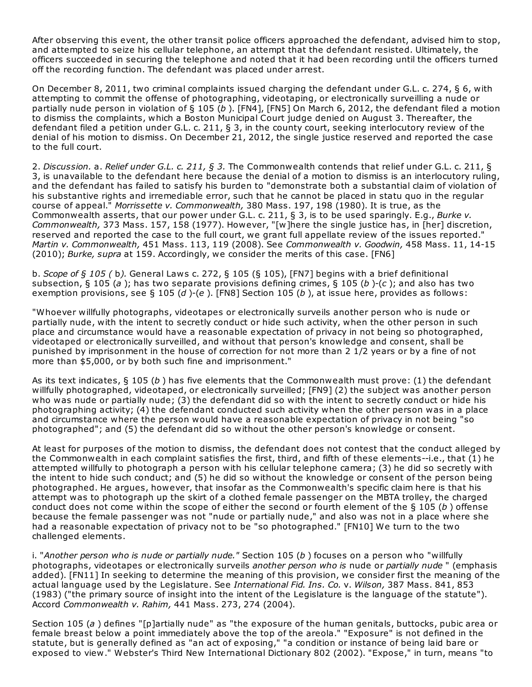After observing this event, the other transit police officers approached the defendant, advised him to stop, and attempted to seize his cellular telephone, an attempt that the defendant resisted. Ultimately, the officers succeeded in securing the telephone and noted that it had been recording until the officers turned off the recording function. The defendant was placed under arrest.

On December 8, 2011, two criminal complaints issued charging the defendant under G.L. c. 274, § 6, with attempting to commit the offense of photographing, videotaping, or electronically surveilling a nude or partially nude person in violation of § 105 (b). [FN4], [FN5] On March 6, 2012, the defendant filed a motion to dismiss the complaints, which a Boston Municipal Court judge denied on August 3. Thereafter, the defendant filed a petition under G.L. c. 211, § 3, in the county court, seeking interlocutory review of the denial of his motion to dismiss. On December 21, 2012, the single justice reserved and reported the case to the full court.

2. Discussion. a. Relief under G.L. c. 211, § 3. The Commonwealth contends that relief under G.L. c. 211, § 3, is unavailable to the defendant here because the denial of a motion to dismiss is an interlocutory ruling, and the defendant has failed to satisfy his burden to "demonstrate both a substantial claim of violation of his substantive rights and irremediable error, such that he cannot be placed in statu quo in the regular course of appeal." Morrissette v. Commonwealth, 380 Mass. 197, 198 (1980). It is true, as the Commonwealth asserts, that our power under G.L. c. 211, § 3, is to be used sparingly. E.g., Burke v. Commonwealth, 373 Mass. 157, 158 (1977). However, "[w]here the single justice has, in [her] discretion, reserved and reported the case to the full court, we grant full appellate review of the issues reported." Martin v. Commonwealth, 451 Mass. 113, 119 (2008). See Commonwealth v. Goodwin, 458 Mass. 11, 14-15 (2010); Burke, supra at 159. Accordingly, we consider the merits of this case. [FN6]

b. Scope of  $\zeta$  105 (b). General Laws c. 272,  $\zeta$  105 ( $\zeta$  105), [FN7] begins with a brief definitional subsection,  $\S 105$  (a); has two separate provisions defining crimes,  $\S 105$  (b)-(c); and also has two exemption provisions, see § 105 (d)-(e). [FN8] Section 105 (b), at issue here, provides as follows:

"Whoever willfully photographs, videotapes or electronically surveils another person who is nude or partially nude, with the intent to secretly conduct or hide such activity, when the other person in such place and circumstance would have a reasonable expectation of privacy in not being so photographed, videotaped or electronically surveilled, and without that person's knowledge and consent, shall be punished by imprisonment in the house of correction for not more than 2 1/2 years or by a fine of not more than \$5,000, or by both such fine and imprisonment."

As its text indicates,  $\S 105 (b)$  has five elements that the Commonwealth must prove: (1) the defendant willfully photographed, videotaped, or electronically surveilled; [FN9] (2) the subject was another person who was nude or partially nude; (3) the defendant did so with the intent to secretly conduct or hide his photographing activity; (4) the defendant conducted such activity when the other person was in a place and circumstance where the person would have a reasonable expectation of privacy in not being "so photographed"; and (5) the defendant did so without the other person's knowledge or consent.

At least for purposes of the motion to dismiss, the defendant does not contest that the conduct alleged by the Commonwealth in each complaint satisfies the first, third, and fifth of these elements--i.e., that (1) he attempted willfully to photograph a person with his cellular telephone camera; (3) he did so secretly with the intent to hide such conduct; and (5) he did so without the knowledge or consent of the person being photographed. He argues, however, that insofar as the Commonwealth's specific claim here is that his attempt was to photograph up the skirt of a clothed female passenger on the MBTA trolley, the charged conduct does not come within the scope of either the second or fourth element of the  $\S$  105 (b) offense because the female passenger was not "nude or partially nude," and also was not in a place where she had a reasonable expectation of privacy not to be "so photographed." [FN10] We turn to the two challenged elements.

i. "Another person who is nude or partially nude." Section  $105 (b)$  focuses on a person who "willfully photographs, videotapes or electronically surveils another person who is nude or partially nude " (emphasis added). [FN11] In seeking to determine the meaning of this provision, we consider first the meaning of the actual language used by the Legislature. See International Fid. Ins. Co. v. Wilson, 387 Mass. 841, 853 (1983) ("the primary source of insight into the intent of the Legislature is the language of the statute"). Accord Commonwealth v. Rahim, 441 Mass. 273, 274 (2004).

Section 105 (a) defines "[p]artially nude" as "the exposure of the human genitals, buttocks, pubic area or female breast below a point immediately above the top of the areola." "Exposure" is not defined in the statute, but is generally defined as "an act of exposing," "a condition or instance of being laid bare or exposed to view." Webster's Third New International Dictionary 802 (2002). "Expose," in turn, means "to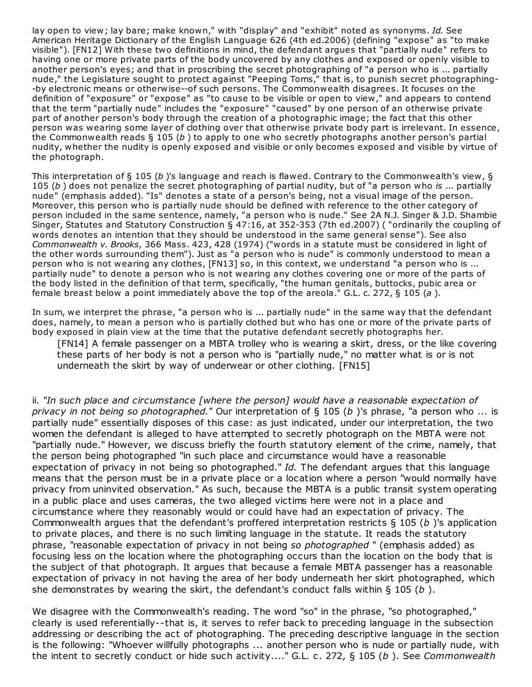lay open to view; lay bare; make known," with "display" and "exhibit" noted as synonyms. Id. See American Heritage Dictionary of the English Language 626 (4th ed.2006) (defining "expose" as "to make visible"). [FN12] With these two definitions in mind, the defendant argues that "partially nude" refers to having one or more private parts of the body uncovered by any clothes and exposed or openly visible to another person's eyes; and that in proscribing the secret photographing of "a person who is ... partially nude," the Legislature sought to protect against "Peeping Toms," that is, to punish secret photographing- -by electronic means or otherwise--of such persons. The Commonwealth disagrees. It focuses on the definition of "exposure" or "expose" as "to cause to be visible or open to view," and appears to contend that the term "partially nude" includes the "exposure" "caused" by one person of an otherwise private part of another person's body through the creation of a photographic image; the fact that this other person was wearing some layer of clothing over that otherwise private body part is irrelevant. In essence, the Commonwealth reads  $\S 105 (b)$  to apply to one who secretly photographs another person's partial nudity, whether the nudity is openly exposed and visible or only becomes exposed and visible by virtue of the photograph.

This interpretation of § 105 (b)'s language and reach is flawed. Contrary to the Commonwealth's view, § 105 (b) does not penalize the secret photographing of partial nudity, but of "a person who is ... partially nude" (emphasis added). "Is" denotes a state of a person's being, not a visual image of the person. Moreover, this person who is partially nude should be defined with reference to the other category of person included in the same sentence, namely, "a person who is nude." See 2A N.J. Singer & J.D. Shambie Singer, Statutes and Statutory Construction § 47:16, at 352-353 (7th ed.2007) ( "ordinarily the coupling of words denotes an intention that they should be understood in the same general sense"). See also Commonwealth v. Brooks, 366 Mass. 423, 428 (1974) ("words in a statute must be considered in light of the other words surrounding them"). Just as "a person who is nude" is commonly understood to mean a person who is not wearing any clothes, [FN13] so, in this context, we understand "a person who is ... partially nude" to denote a person who is not wearing any clothes covering one or more of the parts of the body listed in the definition of that term, specifically, "the human genitals, buttocks, pubic area or female breast below a point immediately above the top of the areola." G.L. c. 272,  $\S$  105 (a).

In sum, we interpret the phrase, "a person who is ... partially nude" in the same way that the defendant does, namely, to mean a person who is partially clothed but who has one or more of the private parts of body exposed in plain view at the time that the putative defendant secretly photographs her.

[FN14] A female passenger on a MBTA trolley who is wearing a skirt, dress, or the like covering these parts of her body is not a person who is "partially nude," no matter what is or is not underneath the skirt by way of underwear or other clothing. [FN15]

ii. "In such place and circumstance [where the person] would have a reasonable expectation of privacy in not being so photographed." Our interpretation of  $\S$  105 (b) s phrase, "a person who ... is partially nude" essentially disposes of this case: as just indicated, under our interpretation, the two women the defendant is alleged to have attempted to secretly photograph on the MBTA were not "partially nude." However, we discuss briefly the fourth statutory element of the crime, namely, that the person being photographed "in such place and circumstance would have a reasonable expectation of privacy in not being so photographed." Id. The defendant argues that this language means that the person must be in a private place or a location where a person "would normally have privacy from uninvited observation." As such, because the MBTA is a public transit system operating in a public place and uses cameras, the two alleged victims here were not in a place and circumstance where they reasonably would or could have had an expectation of privacy. The Commonwealth argues that the defendant's proffered interpretation restricts  $\S$  105 (b) s application to private places, and there is no such limiting language in the statute. It reads the statutory phrase, "reasonable expectation of privacy in not being so photographed" (emphasis added) as focusing less on the location where the photographing occurs than the location on the body that is the subject of that photograph. It argues that because a female MBTA passenger has a reasonable expectation of privacy in not having the area of her body underneath her skirt photographed, which she demonstrates by wearing the skirt, the defendant's conduct falls within  $\S$  105 (b).

We disagree with the Commonwealth's reading. The word "so" in the phrase, "so photographed," clearly is used referentially--that is, it serves to refer back to preceding language in the subsection addressing or describing the act of photographing. The preceding descriptive language in the section is the following: "Whoever willfully photographs ... another person who is nude or partially nude, with the intent to secretly conduct or hide such activity...." G.L. c. 272, § 105 (b). See Commonwealth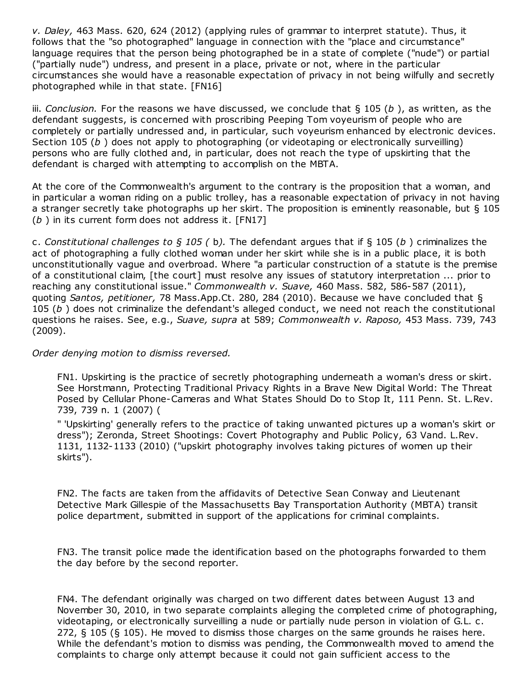v. Daley, 463 Mass. 620, 624 (2012) (applying rules of grammar to interpret statute). Thus, it follows that the "so photographed" language in connection with the "place and circumstance" language requires that the person being photographed be in a state of complete ("nude") or partial ("partially nude") undress, and present in a place, private or not, where in the particular circumstances she would have a reasonable expectation of privacy in not being wilfully and secretly photographed while in that state. [FN16]

iii. Conclusion. For the reasons we have discussed, we conclude that  $\S$  105 (b), as written, as the defendant suggests, is concerned with proscribing Peeping Tom voyeurism of people who are completely or partially undressed and, in particular, such voyeurism enhanced by electronic devices. Section 105 (b) does not apply to photographing (or videotaping or electronically surveilling) persons who are fully clothed and, in particular, does not reach the type of upskirting that the defendant is charged with attempting to accomplish on the MBTA.

At the core of the Commonwealth's argument to the contrary is the proposition that a woman, and in particular a woman riding on a public trolley, has a reasonable expectation of privacy in not having a stranger secretly take photographs up her skirt. The proposition is eminently reasonable, but § 105  $(b)$  in its current form does not address it. [FN17]

c. Constitutional challenges to § 105 (b). The defendant argues that if § 105 (b) criminalizes the act of photographing a fully clothed woman under her skirt while she is in a public place, it is both unconstitutionally vague and overbroad. Where "a particular construction of a statute is the premise of a constitutional claim, [the court] must resolve any issues of statutory interpretation ... prior to reaching any constitutional issue." Commonwealth v. Suave, 460 Mass. 582, 586-587 (2011), quoting Santos, petitioner, 78 Mass.App.Ct. 280, 284 (2010). Because we have concluded that § 105 ( $b$ ) does not criminalize the defendant's alleged conduct, we need not reach the constitutional questions he raises. See, e.g., Suave, supra at 589; Commonwealth v. Raposo, 453 Mass. 739, 743 (2009).

## Order denying motion to dismiss reversed.

FN1. Upskirting is the practice of secretly photographing underneath a woman's dress or skirt. See Horstmann, Protecting Traditional Privacy Rights in a Brave New Digital World: The Threat Posed by Cellular Phone-Cameras and What States Should Do to Stop It, 111 Penn. St. L.Rev. 739, 739 n. 1 (2007) (

" 'Upskirting' generally refers to the practice of taking unwanted pictures up a woman's skirt or dress"); Zeronda, Street Shootings: Covert Photography and Public Policy, 63 Vand. L.Rev. 1131, 1132-1133 (2010) ("upskirt photography involves taking pictures of women up their skirts").

FN2. The facts are taken from the affidavits of Detective Sean Conway and Lieutenant Detective Mark Gillespie of the Massachusetts Bay Transportation Authority (MBTA) transit police department, submitted in support of the applications for criminal complaints.

FN3. The transit police made the identification based on the photographs forwarded to them the day before by the second reporter.

FN4. The defendant originally was charged on two different dates between August 13 and November 30, 2010, in two separate complaints alleging the completed crime of photographing, videotaping, or electronically surveilling a nude or partially nude person in violation of G.L. c. 272, § 105 (§ 105). He moved to dismiss those charges on the same grounds he raises here. While the defendant's motion to dismiss was pending, the Commonwealth moved to amend the complaints to charge only attempt because it could not gain sufficient access to the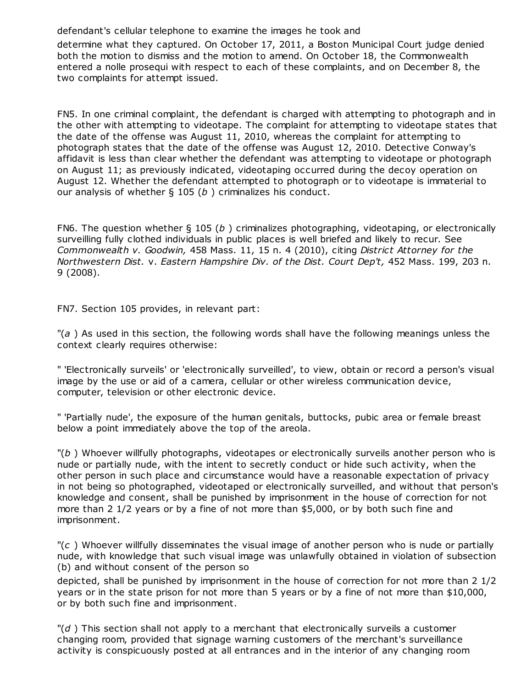defendant's cellular telephone to examine the images he took and

determine what they captured. On October 17, 2011, a Boston Municipal Court judge denied both the motion to dismiss and the motion to amend. On October 18, the Commonwealth entered a nolle prosequi with respect to each of these complaints, and on December 8, the two complaints for attempt issued.

FN5. In one criminal complaint, the defendant is charged with attempting to photograph and in the other with attempting to videotape. The complaint for attempting to videotape states that the date of the offense was August 11, 2010, whereas the complaint for attempting to photograph states that the date of the offense was August 12, 2010. Detective Conway's affidavit is less than clear whether the defendant was attempting to videotape or photograph on August 11; as previously indicated, videotaping occurred during the decoy operation on August 12. Whether the defendant attempted to photograph or to videotape is immaterial to our analysis of whether  $\S$  105 (b) criminalizes his conduct.

FN6. The question whether  $\S$  105 (b) criminalizes photographing, videotaping, or electronically surveilling fully clothed individuals in public places is well briefed and likely to recur. See Commonwealth v. Goodwin, 458 Mass. 11, 15 n. 4 (2010), citing District Attorney for the Northwestern Dist. v. Eastern Hampshire Div. of the Dist. Court Dep't, 452 Mass. 199, 203 n. 9 (2008).

FN7. Section 105 provides, in relevant part:

"(a) As used in this section, the following words shall have the following meanings unless the context clearly requires otherwise:

" 'Electronically surveils' or 'electronically surveilled', to view, obtain or record a person's visual image by the use or aid of a camera, cellular or other wireless communication device, computer, television or other electronic device.

" 'Partially nude', the exposure of the human genitals, buttocks, pubic area or female breast below a point immediately above the top of the areola.

 $\mathbb{I}(b)$ ) Whoever willfully photographs, videotapes or electronically surveils another person who is nude or partially nude, with the intent to secretly conduct or hide such activity, when the other person in such place and circumstance would have a reasonable expectation of privacy in not being so photographed, videotaped or electronically surveilled, and without that person's knowledge and consent, shall be punished by imprisonment in the house of correction for not more than 2 1/2 years or by a fine of not more than \$5,000, or by both such fine and imprisonment.

 $\Gamma(c)$  Whoever willfully disseminates the visual image of another person who is nude or partially nude, with knowledge that such visual image was unlawfully obtained in violation of subsection (b) and without consent of the person so

depicted, shall be punished by imprisonment in the house of correction for not more than 2 1/2 years or in the state prison for not more than 5 years or by a fine of not more than \$10,000, or by both such fine and imprisonment.

 $\mathbb{I}(d)$  This section shall not apply to a merchant that electronically surveils a customer changing room, provided that signage warning customers of the merchant's surveillance activity is conspicuously posted at all entrances and in the interior of any changing room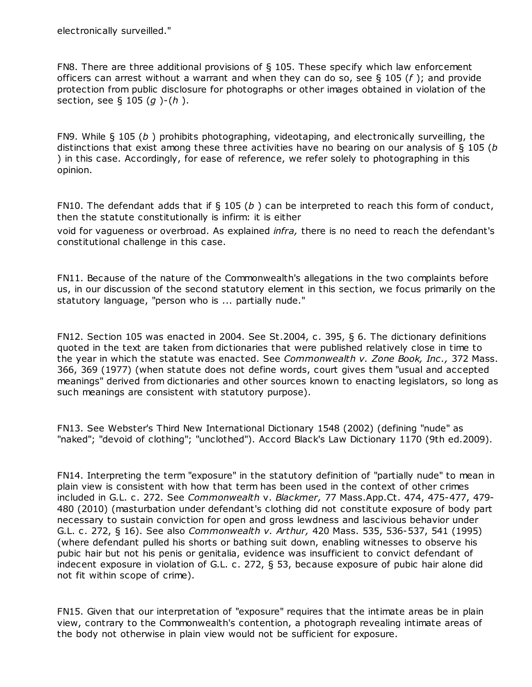FN8. There are three additional provisions of § 105. These specify which law enforcement officers can arrest without a warrant and when they can do so, see § 105 ( $f$ ); and provide protection from public disclosure for photographs or other images obtained in violation of the section, see  $\S$  105 (q)-(h).

FN9. While  $\S$  105 (b) prohibits photographing, videotaping, and electronically surveilling, the distinctions that exist among these three activities have no bearing on our analysis of  $\S$  105 (b ) in this case. Accordingly, for ease of reference, we refer solely to photographing in this opinion.

FN10. The defendant adds that if  $\S$  105 (b) can be interpreted to reach this form of conduct, then the statute constitutionally is infirm: it is either

void for vagueness or overbroad. As explained *infra*, there is no need to reach the defendant's constitutional challenge in this case.

FN11. Because of the nature of the Commonwealth's allegations in the two complaints before us, in our discussion of the second statutory element in this section, we focus primarily on the statutory language, "person who is ... partially nude."

FN12. Section 105 was enacted in 2004. See St.2004, c. 395, § 6. The dictionary definitions quoted in the text are taken from dictionaries that were published relatively close in time to the year in which the statute was enacted. See Commonwealth v. Zone Book, Inc., 372 Mass. 366, 369 (1977) (when statute does not define words, court gives them "usual and accepted meanings" derived from dictionaries and other sources known to enacting legislators, so long as such meanings are consistent with statutory purpose).

FN13. See Webster's Third New International Dictionary 1548 (2002) (defining "nude" as "naked"; "devoid of clothing"; "unclothed"). Accord Black's Law Dictionary 1170 (9th ed.2009).

FN14. Interpreting the term "exposure" in the statutory definition of "partially nude" to mean in plain view is consistent with how that term has been used in the context of other crimes included in G.L. c. 272. See Commonwealth v. Blackmer, 77 Mass.App.Ct. 474, 475-477, 479- 480 (2010) (masturbation under defendant's clothing did not constitute exposure of body part necessary to sustain conviction for open and gross lewdness and lascivious behavior under G.L. c. 272, § 16). See also Commonwealth v. Arthur, 420 Mass. 535, 536-537, 541 (1995) (where defendant pulled his shorts or bathing suit down, enabling witnesses to observe his pubic hair but not his penis or genitalia, evidence was insufficient to convict defendant of indecent exposure in violation of G.L. c. 272, § 53, because exposure of pubic hair alone did not fit within scope of crime).

FN15. Given that our interpretation of "exposure" requires that the intimate areas be in plain view, contrary to the Commonwealth's contention, a photograph revealing intimate areas of the body not otherwise in plain view would not be sufficient for exposure.